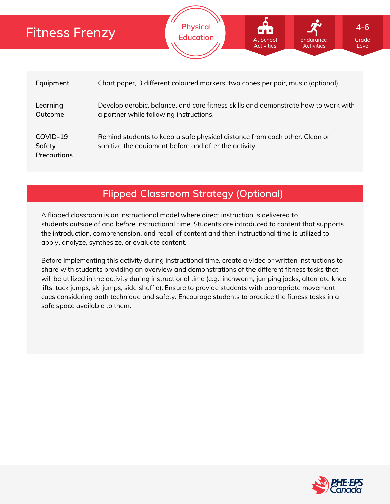## **Fitness Frenzy**



| Equipment                                | Chart paper, 3 different coloured markers, two cones per pair, music (optional)                                                     |
|------------------------------------------|-------------------------------------------------------------------------------------------------------------------------------------|
| Learning<br>Outcome                      | Develop aerobic, balance, and core fitness skills and demonstrate how to work with<br>a partner while following instructions.       |
| COVID-19<br>Safety<br><b>Precautions</b> | Remind students to keep a safe physical distance from each other. Clean or<br>sanitize the equipment before and after the activity. |

### **Flipped Classroom Strategy (Optional)**

A flipped classroom is an instructional model where direct instruction is delivered to students *outside of* and *before* instructional time. Students are introduced to content that supports the introduction, comprehension, and recall of content and then instructional time is utilized to apply, analyze, synthesize, or evaluate content.

Before implementing this activity during instructional time, create a video or written instructions to share with students providing an overview and demonstrations of the different fitness tasks that will be utilized in the activity during instructional time (e.g., inchworm, jumping jacks, alternate knee lifts, tuck jumps, ski jumps, side shuffle). Ensure to provide students with appropriate movement cues considering both technique and safety. Encourage students to practice the fitness tasks in a safe space available to them.

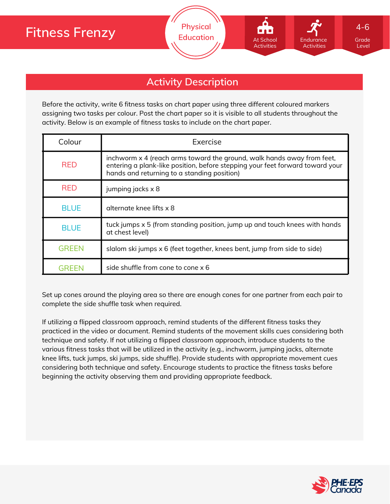

### **Activity Description**

Before the activity, write 6 fitness tasks on chart paper using three different coloured markers assigning two tasks per colour. Post the chart paper so it is visible to all students throughout the activity. Below is an example of fitness tasks to include on the chart paper.

| Colour       | Exercise                                                                                                                                                                                               |  |  |
|--------------|--------------------------------------------------------------------------------------------------------------------------------------------------------------------------------------------------------|--|--|
| <b>RED</b>   | inchworm x 4 (reach arms toward the ground, walk hands away from feet,<br>entering a plank-like position, before stepping your feet forward toward your<br>hands and returning to a standing position) |  |  |
| <b>RED</b>   | jumping jacks x 8                                                                                                                                                                                      |  |  |
| <b>BLUE</b>  | alternate knee lifts x 8                                                                                                                                                                               |  |  |
| <b>BLUE</b>  | tuck jumps x 5 (from standing position, jump up and touch knees with hands<br>at chest level)                                                                                                          |  |  |
| <b>GREEN</b> | slalom ski jumps x 6 (feet together, knees bent, jump from side to side)                                                                                                                               |  |  |
|              | side shuffle from cone to cone x 6                                                                                                                                                                     |  |  |

Set up cones around the playing area so there are enough cones for one partner from each pair to complete the side shuffle task when required.

If utilizing a flipped classroom approach, remind students of the different fitness tasks they practiced in the video or document. Remind students of the movement skills cues considering both technique and safety. If not utilizing a flipped classroom approach, introduce students to the various fitness tasks that will be utilized in the activity (e.g., inchworm, jumping jacks, alternate knee lifts, tuck jumps, ski jumps, side shuffle). Provide students with appropriate movement cues considering both technique and safety. Encourage students to practice the fitness tasks before beginning the activity observing them and providing appropriate feedback.

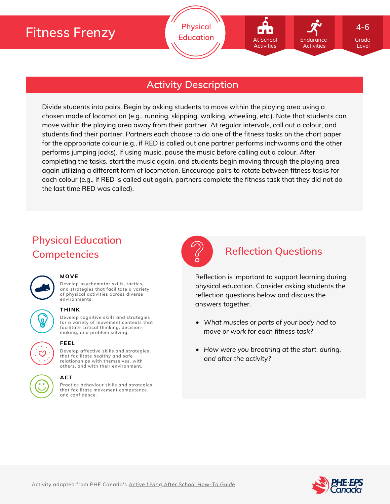# **Fitness Frenzy**

**Physical Education At School Endurance** Grade Level 4-6 At School Activities Endurance **Activities** 

### **Activity Description**

Divide students into pairs. Begin by asking students to move within the playing area using a chosen mode of locomotion (e.g., running, skipping, walking, wheeling, etc.). Note that students can move within the playing area away from their partner. At regular intervals, call out a colour, and students find their partner. Partners each choose to do one of the fitness tasks on the chart paper for the appropriate colour (e.g., if RED is called out one partner performs inchworms and the other performs jumping jacks). If using music, pause the music before calling out a colour. After completing the tasks, start the music again, and students begin moving through the playing area again utilizing a different form of locomotion. Encourage pairs to rotate between fitness tasks for each colour (e.g., if RED is called out again, partners complete the fitness task that they did not do the last time RED was called).

# **Physical Education Competencies Reflection Questions**



#### **MOVE**

**Develop psychomotor skills, tactics, and strategies that facilitate a variety of physical activities across diverse environments.**



### **THINK**

**Develop cognitive skills and strategies for a variety of movement contexts that facilitate critical thinking, decision making, and problem solving.**

**Develop affective skills and strategies that facilitate healthy and safe**



#### **relationships with themselves, with others, and with their environment.**

**FEEL**

#### **ACT**

**Practice behaviour skills and strategies that facilitate movement competence and confidence.**



Reflection is important to support learning during physical education. Consider asking students the reflection questions below and discuss the answers together.

- *What muscles or parts of your body had to move or work for each fitness task?*
- *How were you breathing at the start, during, and after the activity?*